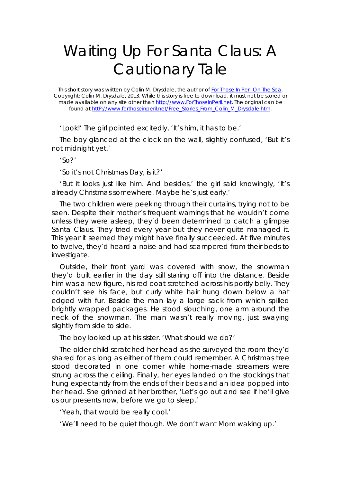## Waiting Up For Santa Claus: A Cautionary Tale

This short story was written by Colin M. Drysdale, the author of *For Those In Peril On The Sea*. Copyright: Colin M. Drysdale, 2013. While this story is free to download, it must not be stored or made available on any site other than http://www.ForThoseInPeril.net. The original can be found at httP://www.forthoseinperil.net/Free\_Stories\_From\_Colin\_M\_Drysdale.htm.

'Look!' The girl pointed excitedly, 'It's him, it has to be.'

The boy glanced at the clock on the wall, slightly confused, 'But it's not midnight yet.'

'So?'

'So it's not Christmas Day, is it?'

'But it looks just like him. And besides,' the girl said knowingly, 'It's already Christmas somewhere. Maybe he's just early.'

The two children were peeking through their curtains, trying not to be seen. Despite their mother's frequent warnings that he wouldn't come unless they were asleep, they'd been determined to catch a glimpse Santa Claus. They tried every year but they never quite managed it. This year it seemed they might have finally succeeded. At five minutes to twelve, they'd heard a noise and had scampered from their beds to investigate.

Outside, their front yard was covered with snow, the snowman they'd built earlier in the day still staring off into the distance. Beside him was a new figure, his red coat stretched across his portly belly. They couldn't see his face, but curly white hair hung down below a hat edged with fur. Beside the man lay a large sack from which spilled brightly wrapped packages. He stood slouching, one arm around the neck of the snowman. The man wasn't really moving, just swaying slightly from side to side.

The boy looked up at his sister. 'What should we do?'

The older child scratched her head as she surveyed the room they'd shared for as long as either of them could remember. A Christmas tree stood decorated in one corner while home-made streamers were strung across the ceiling. Finally, her eyes landed on the stockings that hung expectantly from the ends of their beds and an idea popped into her head. She grinned at her brother, 'Let's go out and see if he'll give us our presents now, before we go to sleep.'

'Yeah, that would be really cool.'

'We'll need to be quiet though. We don't want Mom waking up.'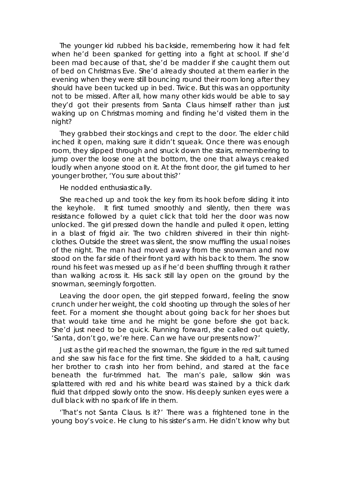The younger kid rubbed his backside, remembering how it had felt when he'd been spanked for getting into a fight at school. If she'd been mad because of that, she'd be madder if she caught them out of bed on Christmas Eve. She'd already shouted at them earlier in the evening when they were still bouncing round their room long after they should have been tucked up in bed. Twice. But this was an opportunity not to be missed. After all, how many other kids would be able to say they'd got their presents from Santa Claus himself rather than just waking up on Christmas morning and finding he'd visited them in the night?

They grabbed their stockings and crept to the door. The elder child inched it open, making sure it didn't squeak. Once there was enough room, they slipped through and snuck down the stairs, remembering to jump over the loose one at the bottom, the one that always creaked loudly when anyone stood on it. At the front door, the girl turned to her younger brother, 'You sure about this?'

He nodded enthusiastically.

She reached up and took the key from its hook before sliding it into the keyhole. It first turned smoothly and silently, then there was resistance followed by a quiet click that told her the door was now unlocked. The girl pressed down the handle and pulled it open, letting in a blast of frigid air. The two children shivered in their thin nightclothes. Outside the street was silent, the snow muffling the usual noises of the night. The man had moved away from the snowman and now stood on the far side of their front yard with his back to them. The snow round his feet was messed up as if he'd been shuffling through it rather than walking across it. His sack still lay open on the ground by the snowman, seemingly forgotten.

Leaving the door open, the girl stepped forward, feeling the snow crunch under her weight, the cold shooting up through the soles of her feet. For a moment she thought about going back for her shoes but that would take time and he might be gone before she got back. She'd just need to be quick. Running forward, she called out quietly, 'Santa, don't go, we're here. Can we have our presents now?'

Just as the girl reached the snowman, the figure in the red suit turned and she saw his face for the first time. She skidded to a halt, causing her brother to crash into her from behind, and stared at the face beneath the fur-trimmed hat. The man's pale, sallow skin was splattered with red and his white beard was stained by a thick dark fluid that dripped slowly onto the snow. His deeply sunken eyes were a dull black with no spark of life in them.

'That's not Santa Claus. Is it?' There was a frightened tone in the young boy's voice. He clung to his sister's arm. He didn't know why but